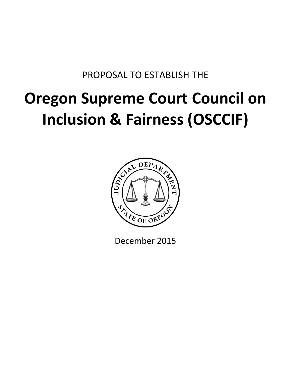## PROPOSAL TO ESTABLISH THE

# **Oregon Supreme Court Council on Inclusion & Fairness (OSCCIF)**



December 2015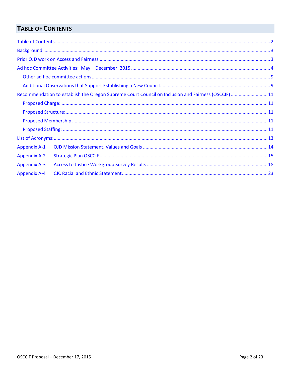## <span id="page-1-0"></span>**TABLE OF CONTENTS**

|                     | Recommendation to establish the Oregon Supreme Court Council on Inclusion and Fairness (OSCCIF) 11 |  |
|---------------------|----------------------------------------------------------------------------------------------------|--|
|                     |                                                                                                    |  |
|                     |                                                                                                    |  |
|                     |                                                                                                    |  |
|                     |                                                                                                    |  |
|                     |                                                                                                    |  |
| <b>Appendix A-1</b> |                                                                                                    |  |
| <b>Appendix A-2</b> |                                                                                                    |  |
| <b>Appendix A-3</b> |                                                                                                    |  |
| <b>Appendix A-4</b> |                                                                                                    |  |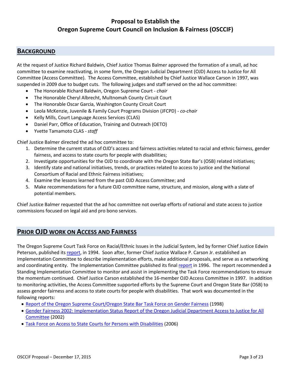## **Proposal to Establish the Oregon Supreme Court Council on Inclusion & Fairness (OSCCIF)**

### <span id="page-2-0"></span>**BACKGROUND**

At the request of Justice Richard Baldwin, Chief Justice Thomas Balmer approved the formation of a small, ad hoc committee to examine reactivating, in some form, the Oregon Judicial Department (OJD) Access to Justice for All Committee (Access Committee). The Access Committee, established by Chief Justice Wallace Carson in 1997, was suspended in 2009 due to budget cuts. The following judges and staff served on the ad hoc committee:

- The Honorable Richard Baldwin, Oregon Supreme Court *- chair*
- The Honorable Cheryl Albrecht, Multnomah County Circuit Court
- The Honorable Oscar Garcia, Washington County Circuit Court
- Leola McKenzie, Juvenile & Family Court Programs Division (JFCPD) *co-chair*
- Kelly Mills, Court Language Access Services (CLAS)
- Daniel Parr, Office of Education, Training and Outreach (OETO)
- Yvette Tamamoto CLAS *- staff*

Chief Justice Balmer directed the ad hoc committee to:

- 1. Determine the current status of OJD's access and fairness activities related to racial and ethnic fairness, gender fairness, and access to state courts for people with disabilities;
- 2. Investigate opportunities for the OJD to coordinate with the Oregon State Bar's (OSB) related initiatives;
- 3. Identify state and national initiatives, trends, or practices related to access to justice and the National Consortium of Racial and Ethnic Fairness initiatives;
- 4. Examine the lessons learned from the past OJD Access Committee; and
- 5. Make recommendations for a future OJD committee name, structure, and mission, along with a slate of potential members.

Chief Justice Balmer requested that the ad hoc committee not overlap efforts of national and state access to justice commissions focused on legal aid and pro bono services.

#### <span id="page-2-1"></span>**PRIOR OJD WORK ON ACCESS AND FAIRNESS**

The Oregon Supreme Court Task Force on Racial/Ethnic Issues in the Judicial System, led by former Chief Justice Edwin Peterson, published its [report,](http://courts.oregon.gov/OJD/docs/osca/cpsd/courtimprovement/access/rac_eth_tfr.pdf) in 1994. Soon after, former Chief Justice Wallace P. Carson Jr. established an Implementation Committee to describe implementation efforts, make additional proposals, and serve as a networking and coordinating entity. The Implementation Committee published its fina[l report](http://courts.oregon.gov/OJD/docs/osca/cpsd/courtimprovement/access/ic_report.pdf) in 1996. The report recommended a Standing Implementation Committee to monitor and assist in implementing the Task Force recommendations to ensure the momentum continued. Chief Justice Carson established the 16-member OJD Access Committee in 1997. In addition to monitoring activities, the Access Committee supported efforts by the Supreme Court and Oregon State Bar (OSB) to assess gender fairness and access to state courts for people with disabilities. That work was documented in the following reports:

- [Report of the Oregon Supreme Court/Oregon State Bar Task Force on Gender Fairness](http://courts.oregon.gov/OJD/docs/osca/cpsd/courtimprovement/access/gftf/gftf_report.pdf) (1998)
- [Gender Fairness 2002: Implementation Status Report of the Oregon Judicial Department Access to Justice for All](http://courts.oregon.gov/OJD/docs/osca/cpsd/courtimprovement/access/gftf/gf2002.pdf)  [Committee](http://courts.oregon.gov/OJD/docs/osca/cpsd/courtimprovement/access/gftf/gf2002.pdf) (2002)
- [Task Force on Access to State Courts for Persons with Disabilities](http://courts.oregon.gov/OJD/docs/osca/cpsd/courtimprovement/access/disabilitytaskforcefinalreportaugust2006.pdf) (2006)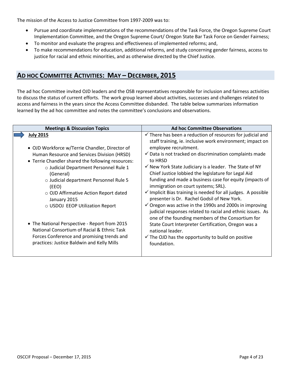The mission of the Access to Justice Committee from 1997-2009 was to:

- Pursue and coordinate implementations of the recommendations of the Task Force, the Oregon Supreme Court Implementation Committee, and the Oregon Supreme Court/ Oregon State Bar Task Force on Gender Fairness;
- To monitor and evaluate the progress and effectiveness of implemented reforms; and,
- To make recommendations for education, additional reforms, and study concerning gender fairness, access to justice for racial and ethnic minorities, and as otherwise directed by the Chief Justice.

## <span id="page-3-0"></span>**AD HOC COMMITTEE ACTIVITIES: MAY – DECEMBER, 2015**

The ad hoc Committee invited OJD leaders and the OSB representatives responsible for inclusion and fairness activities to discuss the status of current efforts. The work group learned about activities, successes and challenges related to access and fairness in the years since the Access Committee disbanded. The table below summarizes information learned by the ad hoc committee and notes the committee's conclusions and observations.

| <b>Meetings &amp; Discussion Topics</b>                                                                                                                                                                                                                                 | <b>Ad hoc Committee Observations</b>                                                                                                                                                                                                                                                                                                                                                                                                 |
|-------------------------------------------------------------------------------------------------------------------------------------------------------------------------------------------------------------------------------------------------------------------------|--------------------------------------------------------------------------------------------------------------------------------------------------------------------------------------------------------------------------------------------------------------------------------------------------------------------------------------------------------------------------------------------------------------------------------------|
| <b>July 2015</b><br>• OJD Workforce w/Terrie Chandler, Director of<br>Human Resource and Services Division (HRSD)<br>• Terrie Chandler shared the following resources:<br>o Judicial Department Personnel Rule 1<br>(General)<br>o Judicial department Personnel Rule 5 | $\checkmark$ There has been a reduction of resources for judicial and<br>staff training, ie. inclusive work environment; impact on<br>employee recruitment.<br>$\checkmark$ Data is not tracked on discrimination complaints made<br>to HRSD<br>$\checkmark$ New York State Judiciary is a leader. The State of NY<br>Chief Justice lobbied the legislature for Legal Aid<br>funding and made a business case for equity (impacts of |
| (EEO)<br>o OJD Affirmative Action Report dated<br>January 2015<br>○ USDOJ EEOP Utilization Report                                                                                                                                                                       | immigration on court systems; SRL).<br>$\checkmark$ Implicit Bias training is needed for all judges. A possible<br>presenter is Dr. Rachel Godsil of New York.<br>$\checkmark$ Oregon was active in the 1990s and 2000s in improving<br>judicial responses related to racial and ethnic issues. As<br>one of the founding members of the Consortium for                                                                              |
| • The National Perspective - Report from 2015<br>National Consortium of Racial & Ethnic Task<br>Forces Conference and promising trends and<br>practices: Justice Baldwin and Kelly Mills                                                                                | State Court Interpreter Certification, Oregon was a<br>national leader.<br>$\checkmark$ The OJD has the opportunity to build on positive<br>foundation.                                                                                                                                                                                                                                                                              |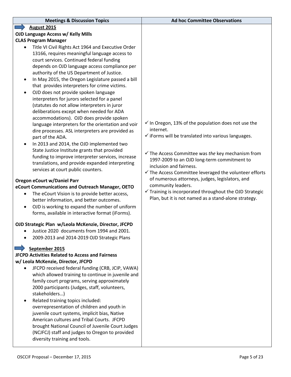| <b>Meetings &amp; Discussion Topics</b>                                                              | <b>Ad hoc Committee Observations</b>                                   |
|------------------------------------------------------------------------------------------------------|------------------------------------------------------------------------|
| <b>August 2015</b>                                                                                   |                                                                        |
| OJD Language Access w/ Kelly Mills                                                                   |                                                                        |
| <b>CLAS Program Manager</b>                                                                          |                                                                        |
| Title VI Civil Rights Act 1964 and Executive Order                                                   |                                                                        |
| 13166, requires meaningful language access to                                                        |                                                                        |
| court services. Continued federal funding                                                            |                                                                        |
| depends on OJD language access compliance per                                                        |                                                                        |
| authority of the US Department of Justice.                                                           |                                                                        |
| In May 2015, the Oregon Legislature passed a bill<br>$\bullet$                                       |                                                                        |
| that provides interpreters for crime victims.                                                        |                                                                        |
| OJD does not provide spoken language<br>$\bullet$                                                    |                                                                        |
| interpreters for jurors selected for a panel                                                         |                                                                        |
| (statutes do not allow interpreters in juror<br>deliberations except when needed for ADA             |                                                                        |
| accommodations). OJD does provide spoken                                                             |                                                                        |
| language interpreters for the orientation and voir                                                   | $\checkmark$ In Oregon, 13% of the population does not use the         |
| dire processes. ASL interpreters are provided as                                                     | internet.                                                              |
| part of the ADA.                                                                                     | $\checkmark$ iForms will be translated into various languages.         |
| In 2013 and 2014, the OJD implemented two<br>$\bullet$                                               |                                                                        |
| State Justice Institute grants that provided                                                         |                                                                        |
| funding to improve interpreter services, increase                                                    | $\checkmark$ The Access Committee was the key mechanism from           |
| translations, and provide expanded interpreting                                                      | 1997-2009 to an OJD long-term commitment to<br>inclusion and fairness. |
| services at court public counters.                                                                   | $\checkmark$ The Access Committee leveraged the volunteer efforts      |
|                                                                                                      | of numerous attorneys, judges, legislators, and                        |
| Oregon eCourt w/Daniel Parr<br>eCourt Communications and Outreach Manager, OETO                      | community leaders.                                                     |
| The eCourt Vision is to provide better access,<br>$\bullet$                                          | $\checkmark$ Training is incorporated throughout the OJD Strategic     |
| better information, and better outcomes.                                                             | Plan, but it is not named as a stand-alone strategy.                   |
| OJD is working to expand the number of uniform<br>$\bullet$                                          |                                                                        |
| forms, available in interactive format (iForms).                                                     |                                                                        |
|                                                                                                      |                                                                        |
| OJD Strategic Plan w/Leola McKenzie, Director, JFCPD                                                 |                                                                        |
| Justice 2020 documents from 1994 and 2001.                                                           |                                                                        |
| 2009-2013 and 2014-2019 OJD Strategic Plans                                                          |                                                                        |
| September 2015                                                                                       |                                                                        |
| <b>JFCPD Activities Related to Access and Fairness</b>                                               |                                                                        |
| w/ Leola McKenzie, Director, JFCPD                                                                   |                                                                        |
| JFCPD received federal funding (CRB, JCIP, VAWA)                                                     |                                                                        |
| which allowed training to continue in juvenile and                                                   |                                                                        |
| family court programs, serving approximately                                                         |                                                                        |
| 2000 participants (Judges, staff, volunteers,                                                        |                                                                        |
| stakeholders)                                                                                        |                                                                        |
| Related training topics included:<br>$\bullet$                                                       |                                                                        |
| overrepresentation of children and youth in                                                          |                                                                        |
| juvenile court systems, implicit bias, Native                                                        |                                                                        |
| American cultures and Tribal Courts. JFCPD                                                           |                                                                        |
| brought National Council of Juvenile Court Judges<br>(NCJFCJ) staff and judges to Oregon to provided |                                                                        |
| diversity training and tools.                                                                        |                                                                        |
|                                                                                                      |                                                                        |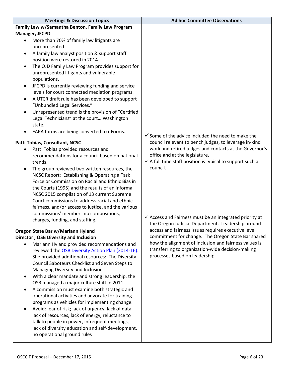| <b>Meetings &amp; Discussion Topics</b>                                                              | <b>Ad hoc Committee Observations</b>                                                                      |
|------------------------------------------------------------------------------------------------------|-----------------------------------------------------------------------------------------------------------|
| Family Law w/Samantha Benton, Family Law Program                                                     |                                                                                                           |
| Manager, JFCPD                                                                                       |                                                                                                           |
| More than 70% of family law litigants are<br>$\bullet$                                               |                                                                                                           |
| unrepresented.                                                                                       |                                                                                                           |
| A family law analyst position & support staff                                                        |                                                                                                           |
| position were restored in 2014.                                                                      |                                                                                                           |
| The OJD Family Law Program provides support for<br>$\bullet$                                         |                                                                                                           |
| unrepresented litigants and vulnerable<br>populations.                                               |                                                                                                           |
| JFCPD is currently reviewing funding and service<br>$\bullet$                                        |                                                                                                           |
| levels for court connected mediation programs.                                                       |                                                                                                           |
| A UTCR draft rule has been developed to support                                                      |                                                                                                           |
| "Unbundled Legal Services."                                                                          |                                                                                                           |
| Unrepresented trend is the provision of "Certified<br>$\bullet$                                      |                                                                                                           |
| Legal Technicians" at the court Washington                                                           |                                                                                                           |
| state.                                                                                               |                                                                                                           |
| FAPA forms are being converted to i-Forms.                                                           | $\checkmark$ Some of the advice included the need to make the                                             |
| Patti Tobias, Consultant, NCSC                                                                       | council relevant to bench judges, to leverage in-kind                                                     |
| Patti Tobias provided resources and<br>$\bullet$                                                     | work and retired judges and contacts at the Governor's                                                    |
| recommendations for a council based on national                                                      | office and at the legislature.                                                                            |
| trends.                                                                                              | $\checkmark$ A full time staff position is typical to support such a                                      |
| The group reviewed two written resources, the                                                        | council.                                                                                                  |
| NCSC Report: Establishing & Operating a Task                                                         |                                                                                                           |
| Force or Commission on Racial and Ethnic Bias in                                                     |                                                                                                           |
| the Courts (1995) and the results of an informal                                                     |                                                                                                           |
| NCSC 2015 compilation of 13 current Supreme<br>Court commissions to address racial and ethnic        |                                                                                                           |
| fairness, and/or access to justice, and the various                                                  |                                                                                                           |
| commissions' membership compositions,                                                                |                                                                                                           |
| charges, funding, and staffing.                                                                      | $\checkmark$ Access and Fairness must be an integrated priority at                                        |
|                                                                                                      | the Oregon Judicial Department. Leadership around                                                         |
| Oregon State Bar w/Mariann Hyland                                                                    | access and fairness issues requires executive level<br>commitment for change. The Oregon State Bar shared |
| Director, OSB Diversity and Inclusion<br>Mariann Hyland provided recommendations and                 | how the alignment of inclusion and fairness values is                                                     |
| reviewed the OSB Diversity Action Plan (2014-16).                                                    | transferring to organization-wide decision-making                                                         |
| She provided additional resources: The Diversity                                                     | processes based on leadership.                                                                            |
| Council Saboteurs Checklist and Seven Steps to                                                       |                                                                                                           |
| Managing Diversity and Inclusion                                                                     |                                                                                                           |
| With a clear mandate and strong leadership, the<br>$\bullet$                                         |                                                                                                           |
| OSB managed a major culture shift in 2011.                                                           |                                                                                                           |
| A commission must examine both strategic and<br>$\bullet$                                            |                                                                                                           |
| operational activities and advocate for training                                                     |                                                                                                           |
| programs as vehicles for implementing change.<br>Avoid: fear of risk; lack of urgency, lack of data, |                                                                                                           |
| $\bullet$<br>lack of resources, lack of energy, reluctance to                                        |                                                                                                           |
| talk to people in power, infrequent meetings,                                                        |                                                                                                           |
| lack of diversity education and self-development,                                                    |                                                                                                           |
| no operational ground rules                                                                          |                                                                                                           |
|                                                                                                      |                                                                                                           |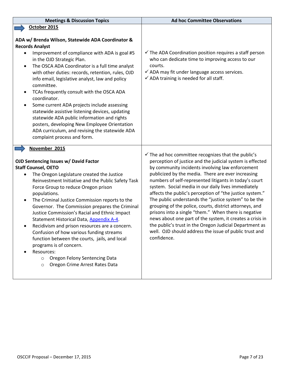| <b>Meetings &amp; Discussion Topics</b>                                                                                                                                                                                                                                                                                                                                                                                                                                                                                                                                                                                                                                                                                                | <b>Ad hoc Committee Observations</b>                                                                                                                                                                                                                                                                                                                                                                                                                                                                                                                                                                                                                                                                                                                                                            |
|----------------------------------------------------------------------------------------------------------------------------------------------------------------------------------------------------------------------------------------------------------------------------------------------------------------------------------------------------------------------------------------------------------------------------------------------------------------------------------------------------------------------------------------------------------------------------------------------------------------------------------------------------------------------------------------------------------------------------------------|-------------------------------------------------------------------------------------------------------------------------------------------------------------------------------------------------------------------------------------------------------------------------------------------------------------------------------------------------------------------------------------------------------------------------------------------------------------------------------------------------------------------------------------------------------------------------------------------------------------------------------------------------------------------------------------------------------------------------------------------------------------------------------------------------|
| October 2015                                                                                                                                                                                                                                                                                                                                                                                                                                                                                                                                                                                                                                                                                                                           |                                                                                                                                                                                                                                                                                                                                                                                                                                                                                                                                                                                                                                                                                                                                                                                                 |
| ADA w/ Brenda Wilson, Statewide ADA Coordinator &<br><b>Records Analyst</b><br>Improvement of compliance with ADA is goal #5<br>$\bullet$<br>in the OJD Strategic Plan.<br>The OSCA ADA Coordinator is a full time analyst<br>$\bullet$<br>with other duties: records, retention, rules, OJD<br>info email, legislative analyst, law and policy<br>committee.<br>TCAs frequently consult with the OSCA ADA<br>$\bullet$<br>coordinator.<br>Some current ADA projects include assessing<br>$\bullet$<br>statewide assistive listening devices, updating<br>statewide ADA public information and rights<br>posters, developing New Employee Orientation<br>ADA curriculum, and revising the statewide ADA<br>complaint process and form. | $\checkmark$ The ADA Coordination position requires a staff person<br>who can dedicate time to improving access to our<br>courts.<br>$\checkmark$ ADA may fit under language access services.<br>$\checkmark$ ADA training is needed for all staff.                                                                                                                                                                                                                                                                                                                                                                                                                                                                                                                                             |
| November 2015<br>OJD Sentencing Issues w/ David Factor<br><b>Staff Counsel, OETO</b><br>The Oregon Legislature created the Justice<br>Reinvestment Initiative and the Public Safety Task<br>Force Group to reduce Oregon prison<br>populations.<br>The Criminal Justice Commission reports to the<br>٠<br>Governor. The Commission prepares the Criminal<br>Justice Commission's Racial and Ethnic Impact<br>Statement Historical Data, Appendix A-4.<br>Recidivism and prison resources are a concern.<br>Confusion of how various funding streams<br>function between the courts, jails, and local<br>programs is of concern.<br>Resources:<br>Oregon Felony Sentencing Data<br>$\circ$<br>Oregon Crime Arrest Rates Data<br>$\circ$ | $\checkmark$ The ad hoc committee recognizes that the public's<br>perception of justice and the judicial system is effected<br>by community incidents involving law enforcement<br>publicized by the media. There are ever increasing<br>numbers of self-represented litigants in today's court<br>system. Social media in our daily lives immediately<br>affects the public's perception of "the justice system."<br>The public understands the "justice system" to be the<br>grouping of the police, courts, district attorneys, and<br>prisons into a single "them." When there is negative<br>news about one part of the system, it creates a crisis in<br>the public's trust in the Oregon Judicial Department as<br>well. OJD should address the issue of public trust and<br>confidence. |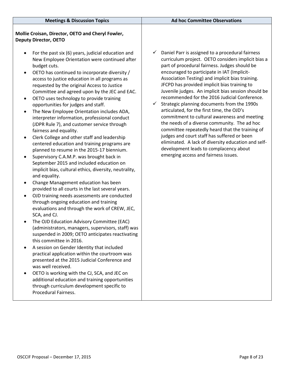| <b>Meetings &amp; Discussion Topics</b>                                                                                                                                                                                                                                                                                                                                                                                                                                                                                                                                                                                                                                                                                                                                                                                                                                                                                                                                                                                                                                                                                                                                                                                                                                                                                                                                                                                                                                                                                                                                                                                                                                                                                                                         | <b>Ad hoc Committee Observations</b>                                                                                                                                                                                                                                                                                                                                                                                                                                                                                                                                                                                                                                                                                                                                                                                                                                 |
|-----------------------------------------------------------------------------------------------------------------------------------------------------------------------------------------------------------------------------------------------------------------------------------------------------------------------------------------------------------------------------------------------------------------------------------------------------------------------------------------------------------------------------------------------------------------------------------------------------------------------------------------------------------------------------------------------------------------------------------------------------------------------------------------------------------------------------------------------------------------------------------------------------------------------------------------------------------------------------------------------------------------------------------------------------------------------------------------------------------------------------------------------------------------------------------------------------------------------------------------------------------------------------------------------------------------------------------------------------------------------------------------------------------------------------------------------------------------------------------------------------------------------------------------------------------------------------------------------------------------------------------------------------------------------------------------------------------------------------------------------------------------|----------------------------------------------------------------------------------------------------------------------------------------------------------------------------------------------------------------------------------------------------------------------------------------------------------------------------------------------------------------------------------------------------------------------------------------------------------------------------------------------------------------------------------------------------------------------------------------------------------------------------------------------------------------------------------------------------------------------------------------------------------------------------------------------------------------------------------------------------------------------|
| Mollie Croisan, Director, OETO and Cheryl Fowler,<br><b>Deputy Director, OETO</b>                                                                                                                                                                                                                                                                                                                                                                                                                                                                                                                                                                                                                                                                                                                                                                                                                                                                                                                                                                                                                                                                                                                                                                                                                                                                                                                                                                                                                                                                                                                                                                                                                                                                               |                                                                                                                                                                                                                                                                                                                                                                                                                                                                                                                                                                                                                                                                                                                                                                                                                                                                      |
| For the past six (6) years, judicial education and<br>New Employee Orientation were continued after<br>budget cuts.<br>OETO has continued to incorporate diversity /<br>access to justice education in all programs as<br>requested by the original Access to Justice<br>Committee and agreed upon by the JEC and EAC.<br>OETO uses technology to provide training<br>$\bullet$<br>opportunities for judges and staff.<br>The New Employee Orientation includes ADA,<br>$\bullet$<br>interpreter information, professional conduct<br>(JDPR Rule 7), and customer service through<br>fairness and equality.<br>Clerk College and other staff and leadership<br>centered education and training programs are<br>planned to resume in the 2015-17 biennium.<br>Supervisory C.A.M.P. was brought back in<br>$\bullet$<br>September 2015 and included education on<br>implicit bias, cultural ethics, diversity, neutrality,<br>and equality.<br>Change Management education has been<br>$\bullet$<br>provided to all courts in the last several years.<br>OJD training needs assessments are conducted<br>$\bullet$<br>through ongoing education and training<br>evaluations and through the work of CREW, JEC,<br>SCA, and CJ.<br>The OJD Education Advisory Committee (EAC)<br>(administrators, managers, supervisors, staff) was<br>suspended in 2009; OETO anticipates reactivating<br>this committee in 2016.<br>A session on Gender Identity that included<br>practical application within the courtroom was<br>presented at the 2015 Judicial Conference and<br>was well received.<br>OETO is working with the CJ, SCA, and JEC on<br>additional education and training opportunities<br>through curriculum development specific to<br>Procedural Fairness. | Daniel Parr is assigned to a procedural fairness<br>✓<br>curriculum project. OETO considers implicit bias a<br>part of procedural fairness. Judges should be<br>encouraged to participate in IAT (Implicit-<br>Association Testing) and implicit bias training.<br>JFCPD has provided implicit bias training to<br>Juvenile judges. An implicit bias session should be<br>recommended for the 2016 Judicial Conference.<br>Strategic planning documents from the 1990s<br>✓<br>articulated, for the first time, the OJD's<br>commitment to cultural awareness and meeting<br>the needs of a diverse community. The ad hoc<br>committee repeatedly heard that the training of<br>judges and court staff has suffered or been<br>eliminated. A lack of diversity education and self-<br>development leads to complacency about<br>emerging access and fairness issues. |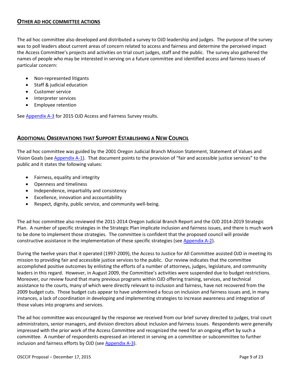#### <span id="page-8-0"></span>**OTHER AD HOC COMMITTEE ACTIONS**

The ad hoc committee also developed and distributed a survey to OJD leadership and judges. The purpose of the survey was to poll leaders about current areas of concern related to access and fairness and determine the perceived impact the Access Committee's projects and activities on trial court judges, staff and the public. The survey also gathered the names of people who may be interested in serving on a future committee and identified access and fairness issues of particular concern:

- Non-represented litigants
- Staff & judicial education
- Customer service
- Interpreter services
- Employee retention

See **Appendix A-3** for 2015 OJD Access and Fairness Survey results.

#### <span id="page-8-1"></span>**ADDITIONAL OBSERVATIONS THAT SUPPORT ESTABLISHING A NEW COUNCIL**

The ad hoc committee was guided by the 2001 Oregon Judicial Branch Mission Statement, Statement of Values and Vision Goals (see [Appendix A-1\)](#page-13-0). That document points to the provision of "fair and accessible justice services" to the public and it states the following values:

- Fairness, equality and integrity
- Openness and timeliness
- Independence, impartiality and consistency
- Excellence, innovation and accountability
- Respect, dignity, public service, and community well-being.

The ad hoc committee also reviewed the 2011-2014 Oregon Judicial Branch Report and the OJD 2014-2019 Strategic Plan. A number of specific strategies in the Strategic Plan implicate inclusion and fairness issues, and there is much work to be done to implement those strategies. The committee is confident that the proposed council will provide constructive assistance in the implementation of these specific strategies (see [Appendix A-2\)](#page-14-0).

During the twelve years that it operated (1997-2009), the Access to Justice for All Committee assisted OJD in meeting its mission to providing fair and accessible justice services to the public. Our review indicates that the committee accomplished positive outcomes by enlisting the efforts of a number of attorneys, judges, legislature, and community leaders in this regard. However, in August 2009, the Committee's activities were suspended due to budget restrictions. Moreover, our review found that many previous programs within OJD offering training, services, and technical assistance to the courts, many of which were directly relevant to inclusion and fairness, have not recovered from the 2009 budget cuts. Those budget cuts appear to have undermined a focus on inclusion and fairness issues and, in many instances, a lack of coordination in developing and implementing strategies to increase awareness and integration of those values into programs and services.

The ad hoc committee was encouraged by the response we received from our brief survey directed to judges, trial court administrators, senior managers, and division directors about inclusion and fairness issues. Respondents were generally impressed with the prior work of the Access Committee and recognized the need for an ongoing effort by such a committee. A number of respondents expressed an interest in serving on a committee or subcommittee to further inclusion and fairness efforts by OJD (se[e Appendix A-3\)](#page-17-0).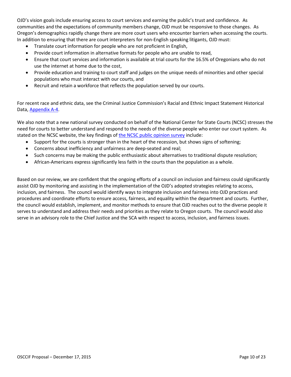OJD's vision goals include ensuring access to court services and earning the public's trust and confidence. As communities and the expectations of community members change, OJD must be responsive to those changes. As Oregon's demographics rapidly change there are more court users who encounter barriers when accessing the courts. In addition to ensuring that there are court interpreters for non-English speaking litigants, OJD must:

- Translate court information for people who are not proficient in English,
- Provide court information in alternative formats for people who are unable to read,
- Ensure that court services and information is available at trial courts for the 16.5% of Oregonians who do not use the internet at home due to the cost,
- Provide education and training to court staff and judges on the unique needs of minorities and other special populations who must interact with our courts, and
- Recruit and retain a workforce that reflects the population served by our courts.

For recent race and ethnic data, see the Criminal Justice Commission's Racial and Ethnic Impact Statement Historical Data, [Appendix A-4.](#page-22-0)

We also note that a new national survey conducted on behalf of the National Center for State Courts (NCSC) stresses the need for courts to better understand and respond to the needs of the diverse people who enter our court system. As stated on the NCSC website, the key findings o[f the NCSC public opinion survey](http://www.ncsc.org/2015survey) include:

- Support for the courts is stronger than in the heart of the recession, but shows signs of softening;
- Concerns about inefficiency and unfairness are deep-seated and real;
- Such concerns may be making the public enthusiastic about alternatives to traditional dispute resolution;
- African-Americans express significantly less faith in the courts than the population as a whole.

Based on our review, we are confident that the ongoing efforts of a council on inclusion and fairness could significantly assist OJD by monitoring and assisting in the implementation of the OJD's adopted strategies relating to access, inclusion, and fairness. The council would identify ways to integrate inclusion and fairness into OJD practices and procedures and coordinate efforts to ensure access, fairness, and equality within the department and courts. Further, the council would establish, implement, and monitor methods to ensure that OJD reaches out to the diverse people it serves to understand and address their needs and priorities as they relate to Oregon courts. The council would also serve in an advisory role to the Chief Justice and the SCA with respect to access, inclusion, and fairness issues.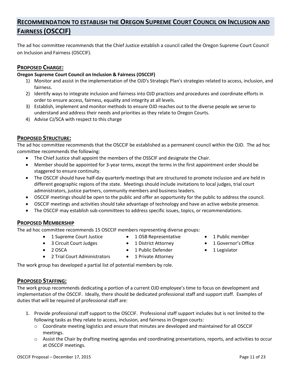## <span id="page-10-0"></span>**RECOMMENDATION TO ESTABLISH THE OREGON SUPREME COURT COUNCIL ON INCLUSION AND FAIRNESS (OSCCIF)**

The ad hoc committee recommends that the Chief Justice establish a council called the Oregon Supreme Court Council on Inclusion and Fairness (OSCCIF).

### <span id="page-10-1"></span>**PROPOSED CHARGE:**

#### **Oregon Supreme Court Council on Inclusion & Fairness (OSCCIF)**

- 1) Monitor and assist in the implementation of the OJD's Strategic Plan's strategies related to access, inclusion, and fairness.
- 2) Identify ways to integrate inclusion and fairness into OJD practices and procedures and coordinate efforts in order to ensure access, fairness, equality and integrity at all levels.
- 3) Establish, implement and monitor methods to ensure OJD reaches out to the diverse people we serve to understand and address their needs and priorities as they relate to Oregon Courts.
- 4) Advise CJ/SCA with respect to this charge

#### <span id="page-10-2"></span>**PROPOSED STRUCTURE:**

The ad hoc committee recommends that the OSCCIF be established as a permanent council within the OJD. The ad hoc committee recommends the following:

- The Chief Justice shall appoint the members of the OSSCIF and designate the Chair.
- Member should be appointed for 3-year terms, except the terms in the first appointment order should be staggered to ensure continuity.
- The OSCCIF should have half-day quarterly meetings that are structured to promote inclusion and are held in different geographic regions of the state. Meetings should include invitations to local judges, trial court administrators, justice partners, community members and business leaders.
- OSCCIF meetings should be open to the public and offer an opportunity for the public to address the council.
- OSCCIF meetings and activities should take advantage of technology and have an active website presence.
- The OSCCIF may establish sub-committees to address specific issues, topics, or recommendations.

#### <span id="page-10-3"></span>**PROPOSED MEMBERSHIP**

The ad hoc committee recommends 15 OSCCIF members representing diverse groups:

- 1 Supreme Court Justice
- 3 Circuit Court Judges
- 1 OSB Representative
- 1 District Attorney
- 1 Public member
- 1 Governor's Office

 $\bullet$  2 OSCA

- 1 Public Defender
- 1 Legislator
- 
- 2 Trial Court Administrators
	- 1 Private Attorney

The work group has developed a partial list of potential members by role.

#### <span id="page-10-4"></span>**PROPOSED STAFFING:**

The work group recommends dedicating a portion of a current OJD employee's time to focus on development and implementation of the OSCCIF. Ideally, there should be dedicated professional staff and support staff. Examples of duties that will be required of professional staff are:

- 1. Provide professional staff support to the OSCCIF. Professional staff support includes but is not limited to the following tasks as they relate to access, inclusion, and fairness in Oregon courts:
	- o Coordinate meeting logistics and ensure that minutes are developed and maintained for all OSCCIF meetings.
	- $\circ$  Assist the Chair by drafting meeting agendas and coordinating presentations, reports, and activities to occur at OSCCIF meetings.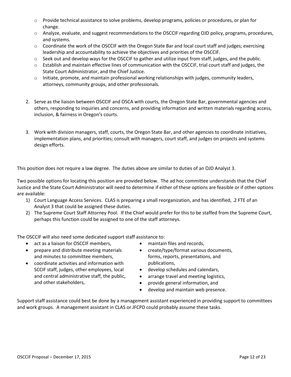- o Provide technical assistance to solve problems, develop programs, policies or procedures, or plan for change.
- o Analyze, evaluate, and suggest recommendations to the OSCCIF regarding OJD policy, programs, procedures, and systems.
- $\circ$  Coordinate the work of the OSCCIF with the Oregon State Bar and local court staff and judges; exercising leadership and accountability to achieve the objectives and priorities of the OSCCIF.
- $\circ$  Seek out and develop ways for the OSCCIF to gather and utilize input from staff, judges, and the public.
- o Establish and maintain effective lines of communication with the OSCCIF, trial court staff and judges, the State Court Administrator, and the Chief Justice.
- o Initiate, promote, and maintain professional working relationships with judges, community leaders, attorneys, community groups, and other professionals.
- 2. Serve as the liaison between OSCCIF and OSCA with courts, the Oregon State Bar, governmental agencies and others, responding to inquiries and concerns, and providing information and written materials regarding access, inclusion, & fairness in Oregon's courts.
- 3. Work with division managers, staff, courts, the Oregon State Bar, and other agencies to coordinate initiatives, implementation plans, and priorities; consult with managers, court staff, and judges on projects and systems design efforts.

This position does not require a law degree. The duties above are similar to duties of an OJD Analyst 3.

Two possible options for locating this position are provided below. The ad hoc committee understands that the Chief Justice and the State Court Administrator will need to determine if either of these options are feasible or if other options are available:

- 1) Court Language Access Services. CLAS is preparing a small reorganization, and has identified, .2 FTE of an Analyst 3 that could be assigned these duties.
- 2) The Supreme Court Staff Attorney Pool. If the Chief would prefer for this to be staffed from the Supreme Court, perhaps this function could be assigned to one of the staff attorneys.

The OSCCIF will also need some dedicated support staff assistance to:

- act as a liaison for OSCCIF members,
- prepare and distribute meeting materials and minutes to committee members,
- coordinate activities and information with SCCIF staff, judges, other employees, local and central administrative staff, the public, and other stakeholders,
- maintain files and records,
- create/type/format various documents, forms, reports, presentations, and publications,
- develop schedules and calendars,
- arrange travel and meeting logistics,
- provide general information, and
- develop and maintain web presence.

Support staff assistance could best be done by a management assistant experienced in providing support to committees and work groups. A management assistant in CLAS or JFCPD could probably assume these tasks.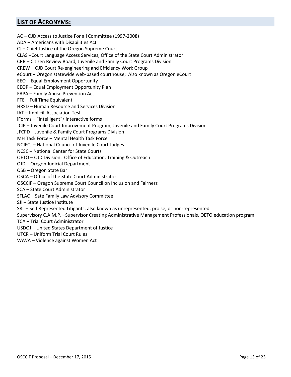## <span id="page-12-0"></span>**LIST OF ACRONYMS:**

AC – OJD Access to Justice For all Committee (1997-2008) ADA – Americans with Disabilities Act CJ – Chief Justice of the Oregon Supreme Court CLAS –Court Language Access Services, Office of the State Court Administrator CRB – Citizen Review Board, Juvenile and Family Court Programs Division CREW – OJD Court Re-engineering and Efficiency Work Group eCourt – Oregon statewide web-based courthouse; Also known as Oregon eCourt EEO – Equal Employment Opportunity EEOP – Equal Employment Opportunity Plan FAPA – Family Abuse Prevention Act FTE – Full Time Equivalent HRSD – Human Resource and Services Division IAT – Implicit-Association Test iForms – "Intelligent"/ interactive forms JCIP – Juvenile Court Improvement Program, Juvenile and Family Court Programs Division JFCPD – Juvenile & Family Court Programs Division MH Task Force – Mental Health Task Force NCJFCJ – National Council of Juvenile Court Judges NCSC – National Center for State Courts OETO – OJD Division: Office of Education, Training & Outreach OJD – Oregon Judicial Department OSB – Oregon State Bar OSCA – Office of the State Court Administrator OSCCIF – Oregon Supreme Court Council on Inclusion and Fairness SCA – State Court Administrator SFLAC – Sate Family Law Advisory Committee SJI – State Justice Institute SRL – Self Represented Litigants, also known as unrepresented, pro se, or non-represented Supervisory C.A.M.P. –Supervisor Creating Administrative Management Professionals, OETO education program TCA – Trial Court Administrator USDOJ – United States Department of Justice UTCR – Uniform Trial Court Rules VAWA – Violence against Women Act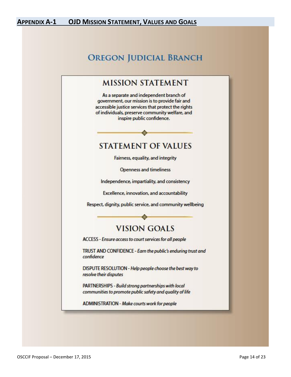## <span id="page-13-0"></span>**APPENDIX A-1 OJD MISSION STATEMENT, VALUES AND GOALS**

## **OREGON JUDICIAL BRANCH**

## **MISSION STATEMENT**

As a separate and independent branch of government, our mission is to provide fair and accessible justice services that protect the rights of individuals, preserve community welfare, and inspire public confidence.

## **STATEMENT OF VALUES**

Fairness, equality, and integrity

Openness and timeliness

Independence, impartiality, and consistency

Excellence, innovation, and accountability

Respect, dignity, public service, and community wellbeing

## **VISION GOALS**

ACCESS - Ensure access to court services for all people

TRUST AND CONFIDENCE - Earn the public's enduring trust and confidence

DISPUTE RESOLUTION - Help people choose the best way to resolve their disputes

PARTNERSHIPS - Build strong partnerships with local communities to promote public safety and quality of life

ADMINISTRATION - Make courts work for people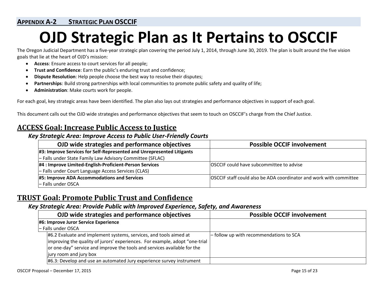## **APPENDIX A-2 STRATEGIC PLAN OSCCIF**

## **OJD Strategic Plan as It Pertains to OSCCIF**

The Oregon Judicial Department has a five-year strategic plan covering the period July 1, 2014, through June 30, 2019. The plan is built around the five vision goals that lie at the heart of OJD's mission:

- **Access**: Ensure access to court services for all people;
- **Trust and Confidence**: Earn the public's enduring trust and confidence;
- **Dispute Resolution**: Help people choose the best way to resolve their disputes;
- **Partnerships**: Build strong partnerships with local communities to promote public safety and quality of life;
- **Administration**: Make courts work for people.

<span id="page-14-0"></span>For each goal, key strategic areas have been identified. The plan also lays out strategies and performance objectives in support of each goal.

This document calls out the OJD wide strategies and performance objectives that seem to touch on OSCCIF's charge from the Chief Justice.

## **ACCESS Goal: Increase Public Access to Justice**

#### *Key Strategic Area: Improve Access to Public User-Friendly Courts*

| OJD wide strategies and performance objectives                        | <b>Possible OCCIF involvement</b>                                  |
|-----------------------------------------------------------------------|--------------------------------------------------------------------|
| #3: Improve Services for Self-Represented and Unrepresented Litigants |                                                                    |
| - Falls under State Family Law Advisory Committee (SFLAC)             |                                                                    |
| #4 : Improve Limited-English-Proficient-Person Services               | OSCCIF could have subcommittee to advise                           |
| - Falls under Court Language Access Services (CLAS)                   |                                                                    |
| #5: Improve ADA Accommodations and Services                           | OSCCIF staff could also be ADA coordinator and work with committee |
| - Falls under OSCA                                                    |                                                                    |

## **TRUST Goal: Promote Public Trust and Confidence**

## *Key Strategic Area: Provide Public with Improved Experience, Safety, and Awareness*

| OJD wide strategies and performance objectives                                                                                                                                                                                                          | <b>Possible OCCIF involvement</b>               |
|---------------------------------------------------------------------------------------------------------------------------------------------------------------------------------------------------------------------------------------------------------|-------------------------------------------------|
| #6: Improve Juror Service Experience                                                                                                                                                                                                                    |                                                 |
| - Falls under OSCA                                                                                                                                                                                                                                      |                                                 |
| #6.2 Evaluate and implement systems, services, and tools aimed at<br> improving the quality of jurors' experiences. For example, adopt "one-trial<br>or one-day" service and improve the tools and services available for the<br>jury room and jury box | $\vert$ - follow up with recommendations to SCA |
| #6.3: Develop and use an automated Jury experience survey instrument                                                                                                                                                                                    |                                                 |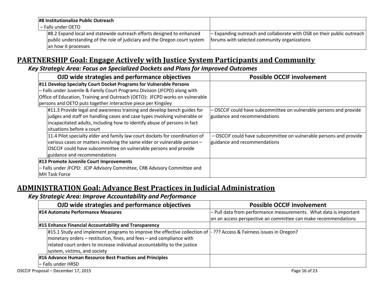| #8 Institutionalize Public Outreach |                                                                           |                                                                          |
|-------------------------------------|---------------------------------------------------------------------------|--------------------------------------------------------------------------|
| - Falls under OETO                  |                                                                           |                                                                          |
|                                     | #8.2 Expand local and statewide outreach efforts designed to enhanced     | $-$ Expanding outreach and collaborate with OSB on their public outreach |
|                                     | public understanding of the role of judiciary and the Oregon court system | forums with selected community organizations                             |
|                                     | an how it processes                                                       |                                                                          |

## **PARTNERSHIP Goal: Engage Actively with Justice System Participants and Community**

## *Key Strategic Area: Focus on Specialized Dockets and Plans for Improved Outcomes*

| OJD wide strategies and performance objectives                               | <b>Possible OCCIF involvement</b>                                  |
|------------------------------------------------------------------------------|--------------------------------------------------------------------|
| #11 Develop Specialty Court Docket Programs for Vulnerable Persons           |                                                                    |
| - Falls under Juvenile & Family Court Programs Division (JFCPD) along with   |                                                                    |
| Office of Education, Training and Outreach (OETO): JFCPD works on vulnerable |                                                                    |
| persons and OETO puts together interactive piece per Kingsley                |                                                                    |
| $\#11.3$ Provide legal and awareness training and develop bench guides for   | - OSCCIF could have subcommittee on vulnerable persons and provide |
| judges and staff on handling cases and case types involving vulnerable or    | guidance and recommendations                                       |
| incapacitated adults, including how to identify abuse of persons in fact     |                                                                    |
| situations before a court                                                    |                                                                    |
| 11.4 Pilot specialty elder and family law court dockets for coordination of  | - OSCCIF could have subcommittee on vulnerable persons and provide |
| various cases or matters involving the same elder or vulnerable person -     | guidance and recommendations                                       |
| OSCCIF could have subcommittee on vulnerable persons and provide             |                                                                    |
| guidance and recommendations                                                 |                                                                    |
| #13 Promote Juvenile Court Improvements                                      |                                                                    |
| - Falls under JFCPD: JCIP Advisory Committee, CRB Advisory Committee and     |                                                                    |
| MH Task Force                                                                |                                                                    |

## **ADMINISTRATION Goal: Advance Best Practices in Judicial Administration**

## *Key Strategic Area: Improve Accountability and Performance*

| OJD wide strategies and performance objectives                                                                                  | <b>Possible OCCIF involvement</b>                                 |
|---------------------------------------------------------------------------------------------------------------------------------|-------------------------------------------------------------------|
| #14 Automate Performance Measures                                                                                               | - Pull data from performance measurements. What data is important |
|                                                                                                                                 | on an access perspective an committee can make recommendations    |
| #15 Enhance Financial Accountability and Transparency                                                                           |                                                                   |
| #15.1 Study and implement programs to improve the effective collection of $\frac{1}{2}$ ??? Access & Fairness issues in Oregon? |                                                                   |
| monetary orders - restitution, fines, and fees - and compliance with                                                            |                                                                   |
| related court orders to increase individual accountability to the justice                                                       |                                                                   |
| system, victims, and society                                                                                                    |                                                                   |
| #16 Advance Human Resource Best Practices and Principles                                                                        |                                                                   |
| l– Falls under HRSD                                                                                                             |                                                                   |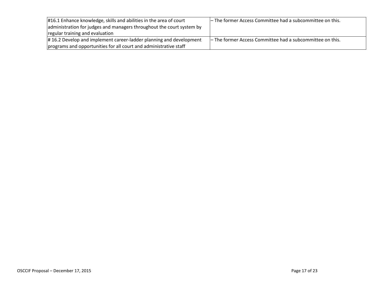| #16.1 Enhance knowledge, skills and abilities in the area of court    | - The former Access Committee had a subcommittee on this. |
|-----------------------------------------------------------------------|-----------------------------------------------------------|
| administration for judges and managers throughout the court system by |                                                           |
| regular training and evaluation                                       |                                                           |
| #16.2 Develop and implement career-ladder planning and development    | - The former Access Committee had a subcommittee on this. |
| programs and opportunities for all court and administrative staff     |                                                           |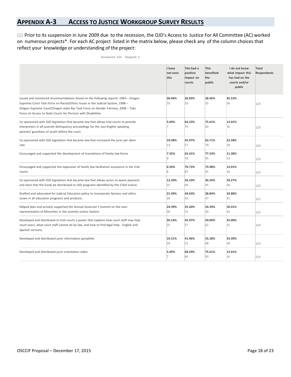## <span id="page-17-0"></span>**APPENDIX A-3 ACCESS TO JUSTICE WORKGROUP SURVEY RESULTS**

Q1 Prior to its suspension in June 2009 due to the recession, the OJD's Access to Justice For All Committee (AC) worked on numerous projects\*. For each AC project listed in the matrix below, please check any of the column choices that reflect your knowledge or understanding of the project:

|                                                                                                                                                                                                                                                                                                                            | I have<br>not seen<br>this | This had a<br>positive<br>impact on<br>courts | <b>This</b><br>benefited<br>the<br>public | I do not know<br>what impact this<br>has had on the<br>courts and/or<br>public | Total<br><b>Respondents</b> |
|----------------------------------------------------------------------------------------------------------------------------------------------------------------------------------------------------------------------------------------------------------------------------------------------------------------------------|----------------------------|-----------------------------------------------|-------------------------------------------|--------------------------------------------------------------------------------|-----------------------------|
| Issued and monitored recommendations based on the following reports: 1994 - Oregon<br>Supreme Court Task Force on Racial/Ethnic Issues in the Judicial System, 1998 -<br>Oregon Supreme Court/Oregon state Bar Task Force on Gender Fairness, 2006 - Taks<br>Force on Access to State Courts for Persons with Disabilities | 28.46%<br>35               | 26.83%<br>33                                  | 28.46%<br>35                              | 45.53%<br>56                                                                   | 123                         |
| Co-sponsored with OJD legislation that became law that allows trial courts to provide<br>interpreters in all juvenile delinquency proceedings for the non-English speaking<br>parents/ guardians of youth before the court                                                                                                 | 5.69%                      | 64.23%<br>79                                  | 75.61%<br>93                              | 13.01%<br>16                                                                   | 123                         |
| Co-sponsored with OJD legislation that became law that increased the juror per diem<br>rate                                                                                                                                                                                                                                | 10.48%<br>13               | 45.97%<br>57                                  | 63.71%<br>79                              | 22.58%<br>28                                                                   | 124                         |
| Encouraged and supported the development of translations of family law forms                                                                                                                                                                                                                                               | 7.32%<br>lg.               | 63.41%<br>78                                  | 77.24%<br>95                              | 11.38%<br>14                                                                   | 123                         |
| Encouraged and supported the expansion of family law facilitation assistance in the trial<br>courts                                                                                                                                                                                                                        | 6.50%<br>R.                | 70.73%<br>87                                  | 73.98%<br>91                              | 13.01%<br>16                                                                   | 123                         |
| Co-sponsored with OJD legislation that became law that allows jurors to waive payment<br>and elect that the funds be distributed to OJD programs identified by the Chief Justice.                                                                                                                                          | 12.20%<br>15               | 56.10%<br>69                                  | 36.59%<br>45                              | 29.27%<br>36                                                                   | 123                         |
| Drafted and advocated for Judicial Education policy to incorporate fairness and ethics<br>issues in all education programs and products.                                                                                                                                                                                   | 21.49%<br>26               | 44.63%<br>54                                  | 38.84%<br>47                              | 33.88%<br>41                                                                   | 121                         |
| Helped plan and actively supported the Annual Governor's Summit on the over-<br>representation of Minorities in the Juvenile Justice System.                                                                                                                                                                               | 24.39%<br>30               | 25.20%<br>31                                  | 24.39%<br>30                              | 50.41%<br>62                                                                   | 123                         |
| Developed and distributed to trial courts a poster that explains how court staff may help<br>court-users, what court staff cannot do by law, and how to find legal help - English and<br>Spanish versions.                                                                                                                 | 20.16%<br>25               | 45.97%<br>57                                  | 50.00%<br>62                              | 25.00%<br>31                                                                   | 124                         |
| Developed and distributed juror information pamphlet                                                                                                                                                                                                                                                                       | 19.51%<br>24               | 41.46%<br>51                                  | 55.28%<br>68                              | 24.39%<br>30                                                                   | 123                         |
| Developed and distributed juror orientation video                                                                                                                                                                                                                                                                          | 5.69%                      | 68.29%<br>84                                  | 75.61%<br>93                              | 13.01%<br>16                                                                   | 123                         |

**Answered: 124 Skipped: 2**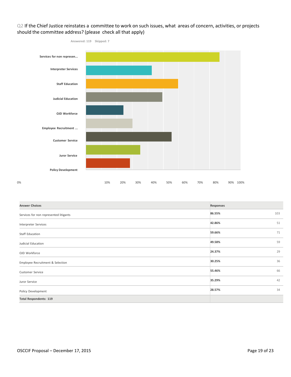#### Q2 If the Chief Justice reinstates a committee to work on such issues, what areas of concern, activities, or projects should the committee address? (please check all that apply)



| <b>Answer Choices</b>                  | Responses |     |
|----------------------------------------|-----------|-----|
| Services for non represented litigants | 86.55%    | 103 |
| Interpreter Services                   | 42.86%    | 51  |
| Staff Education                        | 59.66%    | 71  |
| Judicial Education                     | 49.58%    | 59  |
| OJD Workforce                          | 24.37%    | 29  |
| Employee Recruitment & Selection       | 30.25%    | 36  |
| <b>Customer Service</b>                | 55.46%    | 66  |
| Juror Service                          | 35.29%    | 42  |
| Policy Development                     | 28.57%    | 34  |
| <b>Total Respondents: 119</b>          |           |     |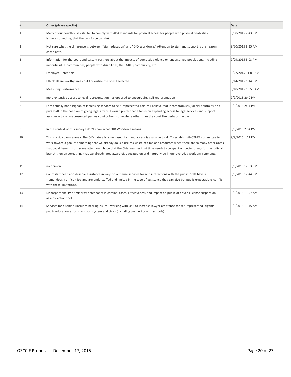|    | Other (please specify)                                                                                                                                                                                                                                                                                                                                                                                                                                                                                                                   | Date               |
|----|------------------------------------------------------------------------------------------------------------------------------------------------------------------------------------------------------------------------------------------------------------------------------------------------------------------------------------------------------------------------------------------------------------------------------------------------------------------------------------------------------------------------------------------|--------------------|
| 1  | Many of our courthouses still fail to comply with ADA standards for physical access for people with physical disabilities.<br>Is there something that the task force can do?                                                                                                                                                                                                                                                                                                                                                             | 9/30/2015 2:43 PM  |
| 2  | Not sure what the difference is between "staff education" and "OJD Workforce." Attention to staff and support is the reason I<br>chose both.                                                                                                                                                                                                                                                                                                                                                                                             | 9/30/2015 8:35 AM  |
| 3  | Information for the court and system partners about the impacts of domestic violence on underserved populations, including<br>minorities/ESL communities, people with disabilities, the LGBTQ community, etc.                                                                                                                                                                                                                                                                                                                            | 9/29/2015 5:03 PM  |
| 4  | <b>Employee Retention</b>                                                                                                                                                                                                                                                                                                                                                                                                                                                                                                                | 9/22/2015 11:09 AM |
| 5  | I think all are worthy areas but I prioritize the ones I selected.                                                                                                                                                                                                                                                                                                                                                                                                                                                                       | 9/14/2015 1:14 PM  |
| 6  | <b>Measuring Performance</b>                                                                                                                                                                                                                                                                                                                                                                                                                                                                                                             | 9/10/2015 10:53 AM |
| 7  | more extensive access to legal representation - as opposed to encouraging self representation                                                                                                                                                                                                                                                                                                                                                                                                                                            | 9/9/2015 2:40 PM   |
| 8  | I am actually not a big fan of increasing services to self- represented parties I believe that it compromises judicial neutrality and<br>puts staff in the position of giving legal advice. I would prefer that e focus on expanding access to legal services and support<br>assistance to self-represented parties coming from somewhere other than the court like perhaps the bar                                                                                                                                                      | 9/9/2015 2:14 PM   |
| 9  | In the context of this survey I don't know what OJD Workforce means.                                                                                                                                                                                                                                                                                                                                                                                                                                                                     | 9/9/2015 2:04 PM   |
| 10 | This is a ridiculous survey. The OJD naturally is unbiased, fair, and access is available to all. To establish ANOTHER committee to<br>work toward a goal of something that we already do is a useless waste of time and resources when there are so many other areas<br>that could benefit from some attention. I hope that the Chief realizes that time needs to be spent on better things for the judicial<br>branch then on something that we already area aware of, educated on and naturally do in our everyday work environments. | 9/9/2015 1:12 PM   |
| 11 | no opinion                                                                                                                                                                                                                                                                                                                                                                                                                                                                                                                               | 9/9/2015 12:53 PM  |
| 12 | Court staff need and deserve assistance in ways to optimize services for and interactions with the public. Staff have a<br>tremendously difficult job and are understaffed and limited in the type of assistance they can give but public expectations conflict<br>with these limitations.                                                                                                                                                                                                                                               | 9/9/2015 12:44 PM  |
| 13 | Disporportionality of minority defendants in criminal cases. Effectiveness and impact on public of driver's license suspension<br>as a collection tool.                                                                                                                                                                                                                                                                                                                                                                                  | 9/9/2015 11:57 AM  |
| 14 | Services for disabled (includes hearing issues); working with OSB to increase lawyer assistance for self-represented litigants;<br>public education efforts re: court system and civics (including partnering with schools)                                                                                                                                                                                                                                                                                                              | 9/9/2015 11:45 AM  |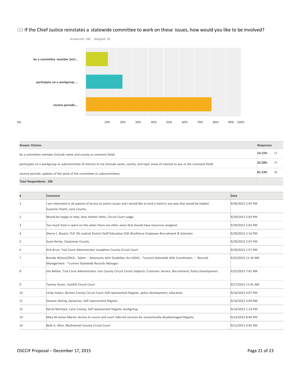#### Q3 If the Chief Justice reinstates a statewide committee to work on these issues, how would you like to be involved?



**Answer Choices Responses** be <sup>a</sup> committee member (include name and county in comment field) **14.15%** <sup>15</sup> participate on <sup>a</sup> workgroup or subcommittee of interest to me (include name, county, and topic areas of interest to you in the comment field) **23.58%** <sup>25</sup> receive periodic updates of the work of the committee or subcommittees **81.13%** <sup>86</sup> **Total Respondents: 106**

|    | Comment                                                                                                                                                                 | Date               |
|----|-------------------------------------------------------------------------------------------------------------------------------------------------------------------------|--------------------|
|    | am interested in all aspects of access to justice issues and I would like to lend a hand in any way that would be helpful.<br>Suzanne Chanti, Lane County.              | 9/30/2015 2:43 PM  |
| 2  | Would be happy to help. Amy Holmes Hehn, Circuit Court Judge                                                                                                            | 9/29/2015 5:03 PM  |
| 3  | Too much time is spent on this when there are other areas that should have resources assigned.                                                                          | 9/29/2015 5:03 PM  |
| 4  | Sherry L. Bryant, TCA 7th Judicial District Staff Education OJD Workforce Employee Recruitment & Selection                                                              | 9/29/2015 2:14 PM  |
| 5  | Susie Norby, Clackamas County                                                                                                                                           | 9/29/2015 2:07 PM  |
| 6  | Kirk Brust, Trial Court Administrator Josephine County Circuit Court                                                                                                    | 9/29/2015 1:57 PM  |
| 7  | Brenda Wilson/OSCA - Salem -- Americans with Disabilites Act (ADA) - *current Statewide ADA Coordinator; -- Records<br>Management - *current Statewide Records Manager. | 9/22/2015 11:18 AM |
| 8  | Jim Belshe, Trial Court Administrator Linn County Circuit Courts Subjects: Customer Service, Recruitment, Policy Development.                                           | 9/22/2015 7:42 AM  |
| 9  | Tammy Dover, Yamhill Circuit Court                                                                                                                                      | 9/17/2015 11:45 AM |
| 10 | Linda Hukari, Benton County Circuit Court Self-represented litigants, policy development, education                                                                     | 9/16/2015 4:07 PM  |
| 11 | Deanne darling clackamas. Self represented litigants                                                                                                                    | 9/16/2015 3:09 AM  |
| 12 | Karrie McIntyre, Lane County, Self represented litigants workgroup.                                                                                                     | 9/14/2015 1:14 PM  |
| 13 | Mary M James Marion Access to courts and court referred services for economically disadvantaged litigants.                                                              | 9/13/2015 8:46 PM  |
| 14 | Beth A. Allen, Multnomah County Circuit Court                                                                                                                           | 9/11/2015 4:45 PM  |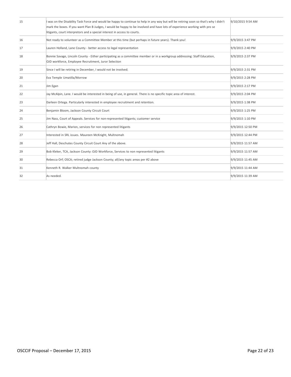| 15 | I was on the Disability Task Force and would be happy to continue to help in any way but will be retiring soon so that's why I didn't<br>mark the boxes. If you want Plan B Judges, I would be happy to be involved and have lots of experience working with pro se<br>litigants, court interpretors and a special interest in access to courts. | 9/10/2015 9:54 AM |
|----|--------------------------------------------------------------------------------------------------------------------------------------------------------------------------------------------------------------------------------------------------------------------------------------------------------------------------------------------------|-------------------|
| 16 | Not ready to volunteer as a Committee Member at this time (but perhaps in future years). Thank you!                                                                                                                                                                                                                                              | 9/9/2015 3:47 PM  |
| 17 | Lauren Holland, Lane County - better access to legal representation                                                                                                                                                                                                                                                                              | 9/9/2015 2:40 PM  |
| 18 | Bonnie Savage, Lincoln County - Either participating as a committee member or in a workgroup addressing: Staff Education,<br>OJD workforce, Employee Recruitment, Juror Selection                                                                                                                                                                | 9/9/2015 2:37 PM  |
| 19 | Since I will be retiring in December, I would not be involved.                                                                                                                                                                                                                                                                                   | 9/9/2015 2:31 PM  |
| 20 | Eva Temple Umatilla/Morrow                                                                                                                                                                                                                                                                                                                       | 9/9/2015 2:28 PM  |
| 21 | Jim Egan                                                                                                                                                                                                                                                                                                                                         | 9/9/2015 2:17 PM  |
| 22 | Jay McAlpin, Lane. I would be interested in being of use, in general. There is no specific topic area of interest.                                                                                                                                                                                                                               | 9/9/2015 2:04 PM  |
| 23 | Darleen Ortega. Particularly interested in employee recruitment and retention.                                                                                                                                                                                                                                                                   | 9/9/2015 1:38 PM  |
| 24 | Benjamin Bloom, Jackson County Circuit Court                                                                                                                                                                                                                                                                                                     | 9/9/2015 1:25 PM  |
| 25 | Jim Nass, Court of Appeals. Services for non-represented litigants; customer service                                                                                                                                                                                                                                                             | 9/9/2015 1:10 PM  |
| 26 | Cathryn Bowie, Marion, services for non represented litigants                                                                                                                                                                                                                                                                                    | 9/9/2015 12:50 PM |
| 27 | Interested in SRL issues. Maureen McKnight, Multnomah                                                                                                                                                                                                                                                                                            | 9/9/2015 12:44 PM |
| 28 | Jeff Hall, Deschutes County Circuit Court Any of the above.                                                                                                                                                                                                                                                                                      | 9/9/2015 11:57 AM |
| 29 | Bob Kleker, TCA, Jackson County: OJD Workforce, Services to non represented litigants                                                                                                                                                                                                                                                            | 9/9/2015 11:57 AM |
| 30 | Rebecca Orf; OSCA; retired judge Jackson County; all/any topic areas per #2 above                                                                                                                                                                                                                                                                | 9/9/2015 11:45 AM |
| 31 | Kenneth R. Walker Multnomah county                                                                                                                                                                                                                                                                                                               | 9/9/2015 11:44 AM |
| 32 | As needed.                                                                                                                                                                                                                                                                                                                                       | 9/9/2015 11:39 AM |